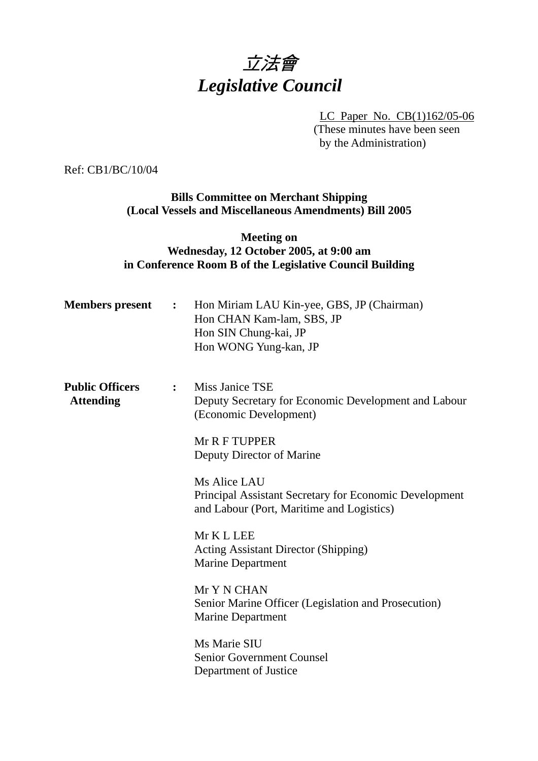# 立法會 *Legislative Council*

LC Paper No. CB(1)162/05-06 (These minutes have been seen by the Administration)

Ref: CB1/BC/10/04

# **Bills Committee on Merchant Shipping (Local Vessels and Miscellaneous Amendments) Bill 2005**

# **Meeting on Wednesday, 12 October 2005, at 9:00 am in Conference Room B of the Legislative Council Building**

| <b>Members present</b>                     | $\mathbf{L}$     | Hon Miriam LAU Kin-yee, GBS, JP (Chairman)<br>Hon CHAN Kam-lam, SBS, JP<br>Hon SIN Chung-kai, JP<br>Hon WONG Yung-kan, JP |
|--------------------------------------------|------------------|---------------------------------------------------------------------------------------------------------------------------|
| <b>Public Officers</b><br><b>Attending</b> | $\ddot{\bullet}$ | Miss Janice TSE<br>Deputy Secretary for Economic Development and Labour<br>(Economic Development)                         |
|                                            |                  | Mr R F TUPPER<br>Deputy Director of Marine                                                                                |
|                                            |                  | Ms Alice LAU<br>Principal Assistant Secretary for Economic Development<br>and Labour (Port, Maritime and Logistics)       |
|                                            |                  | Mr K L LEE<br><b>Acting Assistant Director (Shipping)</b><br><b>Marine Department</b>                                     |
|                                            |                  | Mr Y N CHAN<br>Senior Marine Officer (Legislation and Prosecution)<br><b>Marine Department</b>                            |
|                                            |                  | Ms Marie SIU<br><b>Senior Government Counsel</b><br>Department of Justice                                                 |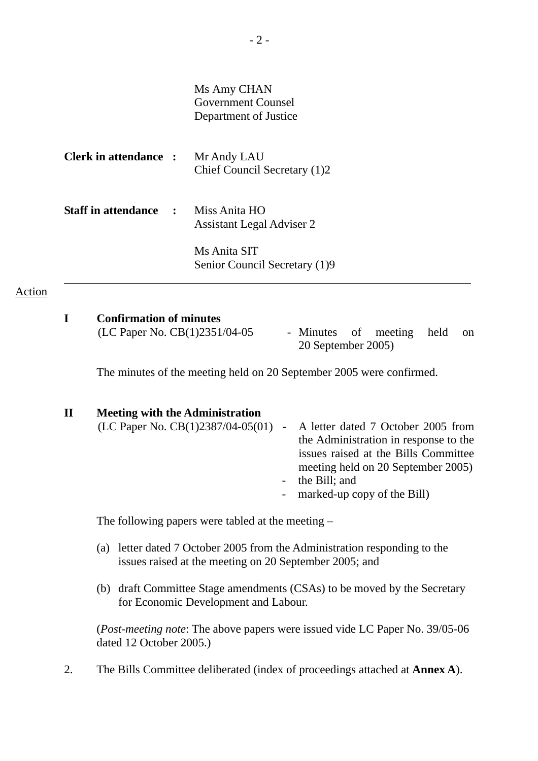| Ms Amy CHAN           |
|-----------------------|
| Government Counsel    |
| Department of Justice |

| <b>Clerk in attendance :</b> | Mr Andy LAU<br>Chief Council Secretary (1)2       |
|------------------------------|---------------------------------------------------|
| <b>Staff in attendance :</b> | Miss Anita HO<br><b>Assistant Legal Adviser 2</b> |
|                              | Ms Anita SIT<br>Senior Council Secretary (1)9     |

#### Action

#### **I Confirmation of minutes**

 $(LC$  Paper No.  $CB(1)2351/04-05$  - Minutes of meeting held on 20 September 2005)

The minutes of the meeting held on 20 September 2005 were confirmed.

# **II Meeting with the Administration**  (LC Paper No. CB(1)2387/04-05(01) - A letter dated 7 October 2005 from the Administration in response to the issues raised at the Bills Committee meeting held on 20 September 2005) - the Bill; and - marked-up copy of the Bill)

The following papers were tabled at the meeting –

- (a) letter dated 7 October 2005 from the Administration responding to the issues raised at the meeting on 20 September 2005; and
- (b) draft Committee Stage amendments (CSAs) to be moved by the Secretary for Economic Development and Labour.

(*Post-meeting note*: The above papers were issued vide LC Paper No. 39/05-06 dated 12 October 2005.)

2. The Bills Committee deliberated (index of proceedings attached at **Annex A**).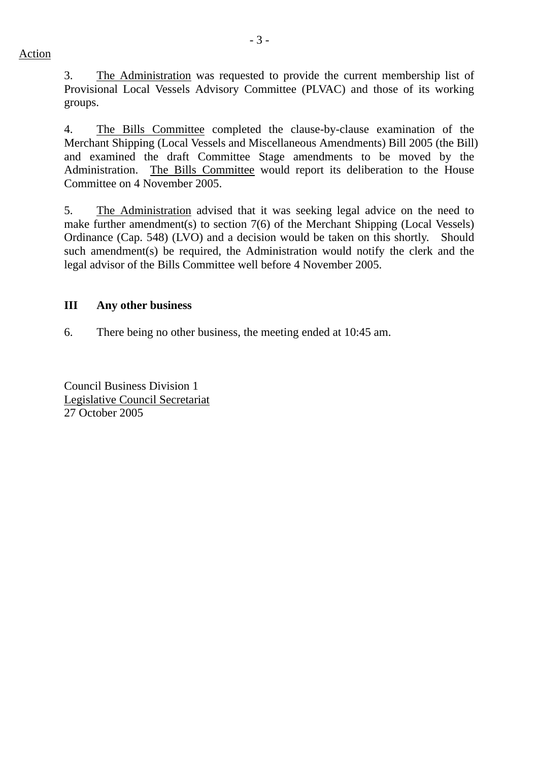Action

3. The Administration was requested to provide the current membership list of Provisional Local Vessels Advisory Committee (PLVAC) and those of its working groups.

4. The Bills Committee completed the clause-by-clause examination of the Merchant Shipping (Local Vessels and Miscellaneous Amendments) Bill 2005 (the Bill) and examined the draft Committee Stage amendments to be moved by the Administration. The Bills Committee would report its deliberation to the House Committee on 4 November 2005.

5. The Administration advised that it was seeking legal advice on the need to make further amendment(s) to section 7(6) of the Merchant Shipping (Local Vessels) Ordinance (Cap. 548) (LVO) and a decision would be taken on this shortly. Should such amendment(s) be required, the Administration would notify the clerk and the legal advisor of the Bills Committee well before 4 November 2005.

## **III Any other business**

6. There being no other business, the meeting ended at 10:45 am.

Council Business Division 1 Legislative Council Secretariat 27 October 2005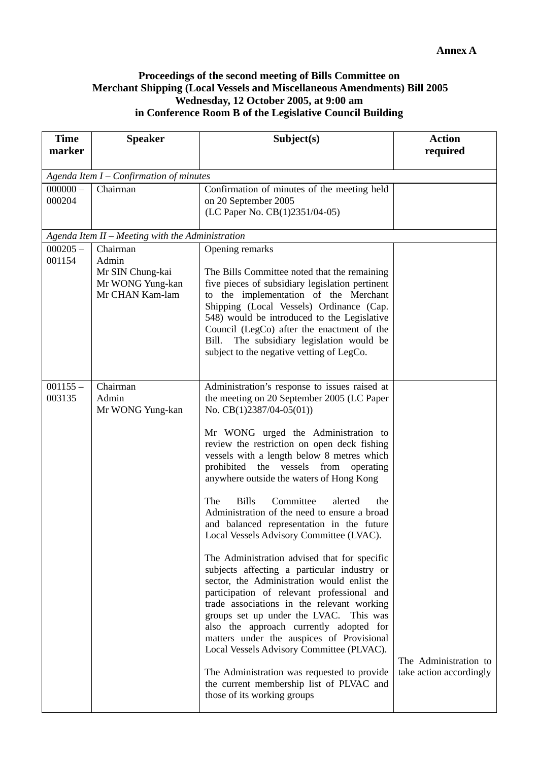## **Proceedings of the second meeting of Bills Committee on Merchant Shipping (Local Vessels and Miscellaneous Amendments) Bill 2005 Wednesday, 12 October 2005, at 9:00 am in Conference Room B of the Legislative Council Building**

| <b>Time</b><br>marker | <b>Speaker</b>                                                               | Subject(s)                                                                                                                                                                                                                                                                                                                                                                                                                                                                                                                                                                                                                                                                                                                                                                                                                                                                                                                                                                                                                                                                                              | <b>Action</b><br>required                        |  |  |  |  |  |  |  |
|-----------------------|------------------------------------------------------------------------------|---------------------------------------------------------------------------------------------------------------------------------------------------------------------------------------------------------------------------------------------------------------------------------------------------------------------------------------------------------------------------------------------------------------------------------------------------------------------------------------------------------------------------------------------------------------------------------------------------------------------------------------------------------------------------------------------------------------------------------------------------------------------------------------------------------------------------------------------------------------------------------------------------------------------------------------------------------------------------------------------------------------------------------------------------------------------------------------------------------|--------------------------------------------------|--|--|--|--|--|--|--|
|                       | Agenda Item I - Confirmation of minutes                                      |                                                                                                                                                                                                                                                                                                                                                                                                                                                                                                                                                                                                                                                                                                                                                                                                                                                                                                                                                                                                                                                                                                         |                                                  |  |  |  |  |  |  |  |
| $000000 -$<br>000204  | Chairman                                                                     | Confirmation of minutes of the meeting held<br>on 20 September 2005<br>(LC Paper No. CB(1)2351/04-05)                                                                                                                                                                                                                                                                                                                                                                                                                                                                                                                                                                                                                                                                                                                                                                                                                                                                                                                                                                                                   |                                                  |  |  |  |  |  |  |  |
|                       | Agenda Item II - Meeting with the Administration                             |                                                                                                                                                                                                                                                                                                                                                                                                                                                                                                                                                                                                                                                                                                                                                                                                                                                                                                                                                                                                                                                                                                         |                                                  |  |  |  |  |  |  |  |
| $000205 -$<br>001154  | Chairman<br>Admin<br>Mr SIN Chung-kai<br>Mr WONG Yung-kan<br>Mr CHAN Kam-lam | Opening remarks<br>The Bills Committee noted that the remaining<br>five pieces of subsidiary legislation pertinent<br>to the implementation of the Merchant<br>Shipping (Local Vessels) Ordinance (Cap.<br>548) would be introduced to the Legislative<br>Council (LegCo) after the enactment of the<br>The subsidiary legislation would be<br>Bill.<br>subject to the negative vetting of LegCo.                                                                                                                                                                                                                                                                                                                                                                                                                                                                                                                                                                                                                                                                                                       |                                                  |  |  |  |  |  |  |  |
| $001155 -$<br>003135  | Chairman<br>Admin<br>Mr WONG Yung-kan                                        | Administration's response to issues raised at<br>the meeting on 20 September 2005 (LC Paper<br>No. $CB(1)2387/04-05(01))$<br>Mr WONG urged the Administration to<br>review the restriction on open deck fishing<br>vessels with a length below 8 metres which<br>prohibited the vessels from<br>operating<br>anywhere outside the waters of Hong Kong<br><b>Bills</b><br>Committee<br>The<br>alerted<br>the<br>Administration of the need to ensure a broad<br>and balanced representation in the future<br>Local Vessels Advisory Committee (LVAC).<br>The Administration advised that for specific<br>subjects affecting a particular industry or<br>sector, the Administration would enlist the<br>participation of relevant professional and<br>trade associations in the relevant working<br>groups set up under the LVAC. This was<br>also the approach currently adopted for<br>matters under the auspices of Provisional<br>Local Vessels Advisory Committee (PLVAC).<br>The Administration was requested to provide<br>the current membership list of PLVAC and<br>those of its working groups | The Administration to<br>take action accordingly |  |  |  |  |  |  |  |